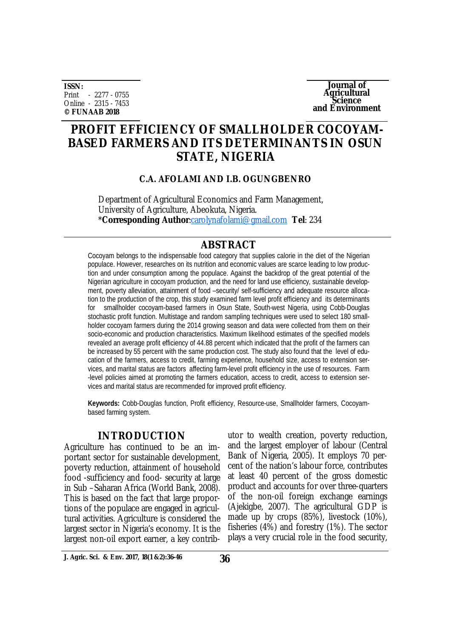**ISSN:** Print - 2277 - 0755 Online - 2315 - 7453 **© FUNAAB 2018**

**Journal of Agricultural Science and Environment**

# **PROFIT EFFICIENCY OF SMALLHOLDER COCOYAM-BASED FARMERS AND ITS DETERMINANTS IN OSUN STATE, NIGERIA**

**C.A. AFOLAMI AND I.B. OGUNGBENRO** 

Department of Agricultural Economics and Farm Management, University of Agriculture, Abeokuta, Nigeria. \***Corresponding Author**[:carolynafolami@gmail.com](mailto::carolynafolami@gmail.com) **Tel**: 234

## **ABSTRACT**

Cocoyam belongs to the indispensable food category that supplies calorie in the diet of the Nigerian populace. However, researches on its nutrition and economic values are scarce leading to low production and under consumption among the populace. Against the backdrop of the great potential of the Nigerian agriculture in cocoyam production, and the need for land use efficiency, sustainable development, poverty alleviation, attainment of food –security/ self-sufficiency and adequate resource allocation to the production of the crop, this study examined farm level profit efficiency and its determinants for smallholder cocoyam-based farmers in Osun State, South-west Nigeria, using Cobb-Douglas stochastic profit function. Multistage and random sampling techniques were used to select 180 smallholder cocoyam farmers during the 2014 growing season and data were collected from them on their socio-economic and production characteristics. Maximum likelihood estimates of the specified models revealed an average profit efficiency of 44.88 percent which indicated that the profit of the farmers can be increased by 55 percent with the same production cost. The study also found that the level of education of the farmers, access to credit, farming experience, household size, access to extension services, and marital status are factors affecting farm-level profit efficiency in the use of resources. Farm -level policies aimed at promoting the farmers education, access to credit, access to extension services and marital status are recommended for improved profit efficiency.

**Keywords:** Cobb-Douglas function, Profit efficiency, Resource-use, Smallholder farmers, Cocoyambased farming system.

## **INTRODUCTION**

Agriculture has continued to be an important sector for sustainable development, poverty reduction, attainment of household food -sufficiency and food- security at large in Sub –Saharan Africa (World Bank, 2008). This is based on the fact that large proportions of the populace are engaged in agricultural activities. Agriculture is considered the largest sector in Nigeria's economy. It is the largest non-oil export earner, a key contributor to wealth creation, poverty reduction, and the largest employer of labour (Central Bank of Nigeria, 2005). It employs 70 percent of the nation's labour force, contributes at least 40 percent of the gross domestic product and accounts for over three-quarters of the non-oil foreign exchange earnings (Ajekigbe, 2007). The agricultural GDP is made up by crops (85%), livestock (10%), fisheries (4%) and forestry (1%). The sector plays a very crucial role in the food security,

**J. Agric. Sci. & Env. 2017, 18(1 &2):36-46 36**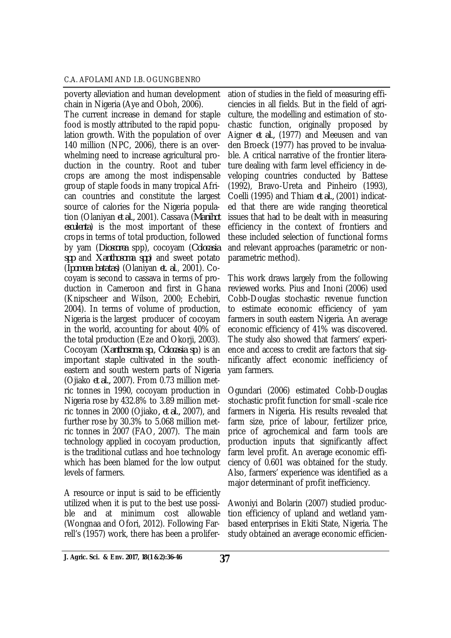poverty alleviation and human development chain in Nigeria (Aye and Oboh, 2006). The current increase in demand for staple food is mostly attributed to the rapid population growth. With the population of over 140 million (NPC, 2006), there is an overwhelming need to increase agricultural production in the country. Root and tuber crops are among the most indispensable group of staple foods in many tropical African countries and constitute the largest source of calories for the Nigeria population (Olaniyan *et al.,* 2001). Cassava (*Manihot esculenta*) is the most important of these crops in terms of total production, followed by yam (*Dioscorea* spp), cocoyam (*Colocasia spp* and *Xanthosoma spp*) and sweet potato (*Ipomoea batatas*) (Olaniyan *et. al*., 2001). Cocoyam is second to cassava in terms of production in Cameroon and first in Ghana (Knipscheer and Wilson, 2000; Echebiri, 2004). In terms of volume of production, Nigeria is the largest producer of cocoyam in the world, accounting for about 40% of the total production (Eze and Okorji, 2003). Cocoyam (*Xanthosoma sp., Colocasia sp*.) is an important staple cultivated in the southeastern and south western parts of Nigeria (Ojiako *et al.,* 2007). From 0.73 million metric tonnes in 1990, cocoyam production in Nigeria rose by 432.8% to 3.89 million metric tonnes in 2000 (Ojiako*, et al.,* 2007), and further rose by 30.3% to 5.068 million metric tonnes in 2007 (FAO, 2007). The main technology applied in cocoyam production, is the traditional cutlass and hoe technology which has been blamed for the low output levels of farmers.

A resource or input is said to be efficiently utilized when it is put to the best use possible and at minimum cost allowable (Wongnaa and Ofori, 2012). Following Farrell's (1957) work, there has been a prolifer-

ation of studies in the field of measuring efficiencies in all fields. But in the field of agriculture, the modelling and estimation of stochastic function, originally proposed by Aigner *et al.,* (1977) and Meeusen and van den Broeck (1977) has proved to be invaluable. A critical narrative of the frontier literature dealing with farm level efficiency in developing countries conducted by Battese (1992), Bravo-Ureta and Pinheiro (1993), Coelli (1995) and Thiam *et al.,* (2001) indicated that there are wide ranging theoretical issues that had to be dealt with in measuring efficiency in the context of frontiers and these included selection of functional forms and relevant approaches (parametric or nonparametric method).

This work draws largely from the following reviewed works. Pius and Inoni (2006) used Cobb-Douglas stochastic revenue function to estimate economic efficiency of yam farmers in south eastern Nigeria. An average economic efficiency of 41% was discovered. The study also showed that farmers' experience and access to credit are factors that significantly affect economic inefficiency of yam farmers.

Ogundari (2006) estimated Cobb-Douglas stochastic profit function for small -scale rice farmers in Nigeria. His results revealed that farm size, price of labour, fertilizer price, price of agrochemical and farm tools are production inputs that significantly affect farm level profit. An average economic efficiency of 0.601 was obtained for the study. Also, farmers' experience was identified as a major determinant of profit inefficiency.

Awoniyi and Bolarin (2007) studied production efficiency of upland and wetland yambased enterprises in Ekiti State, Nigeria. The study obtained an average economic efficien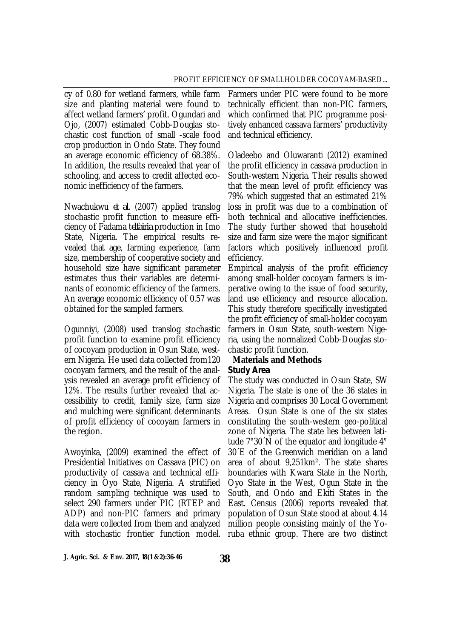cy of 0.80 for wetland farmers, while farm size and planting material were found to affect wetland farmers' profit. Ogundari and Ojo, (2007) estimated Cobb-Douglas stochastic cost function of small -scale food crop production in Ondo State. They found an average economic efficiency of 68.38%. In addition, the results revealed that year of schooling, and access to credit affected economic inefficiency of the farmers.

Nwachukwu *et al.* (2007) applied translog stochastic profit function to measure efficiency of Fadama t*elfairia* production in Imo State, Nigeria. The empirical results revealed that age, farming experience, farm size, membership of cooperative society and household size have significant parameter estimates thus their variables are determinants of economic efficiency of the farmers. An average economic efficiency of 0.57 was obtained for the sampled farmers.

Ogunniyi, (2008) used translog stochastic profit function to examine profit efficiency of cocoyam production in Osun State, western Nigeria. He used data collected from120 cocoyam farmers, and the result of the analysis revealed an average profit efficiency of 12%. The results further revealed that accessibility to credit, family size, farm size and mulching were significant determinants of profit efficiency of cocoyam farmers in the region.

Awoyinka, (2009) examined the effect of Presidential Initiatives on Cassava (PIC) on productivity of cassava and technical efficiency in Oyo State, Nigeria. A stratified random sampling technique was used to select 290 farmers under PIC (RTEP and ADP) and non-PIC farmers and primary data were collected from them and analyzed with stochastic frontier function model.

Farmers under PIC were found to be more technically efficient than non-PIC farmers, which confirmed that PIC programme positively enhanced cassava farmers' productivity and technical efficiency.

Oladeebo and Oluwaranti (2012) examined the profit efficiency in cassava production in South-western Nigeria. Their results showed that the mean level of profit efficiency was 79% which suggested that an estimated 21% loss in profit was due to a combination of both technical and allocative inefficiencies. The study further showed that household size and farm size were the major significant factors which positively influenced profit efficiency.

Empirical analysis of the profit efficiency among small-holder cocoyam farmers is imperative owing to the issue of food security, land use efficiency and resource allocation. This study therefore specifically investigated the profit efficiency of small-holder cocoyam farmers in Osun State, south-western Nigeria, using the normalized Cobb-Douglas stochastic profit function.

#### **Materials and Methods** *Study Area*

The study was conducted in Osun State, SW Nigeria. The state is one of the 36 states in Nigeria and comprises 30 Local Government Areas. Osun State is one of the six states constituting the south-western geo-political zone of Nigeria. The state lies between latitude 7°30´N of the equator and longitude 4° 30´E of the Greenwich meridian on a land area of about 9,251km². The state shares boundaries with Kwara State in the North, Oyo State in the West, Ogun State in the South, and Ondo and Ekiti States in the East. Census (2006) reports revealed that population of Osun State stood at about 4.14 million people consisting mainly of the Yoruba ethnic group. There are two distinct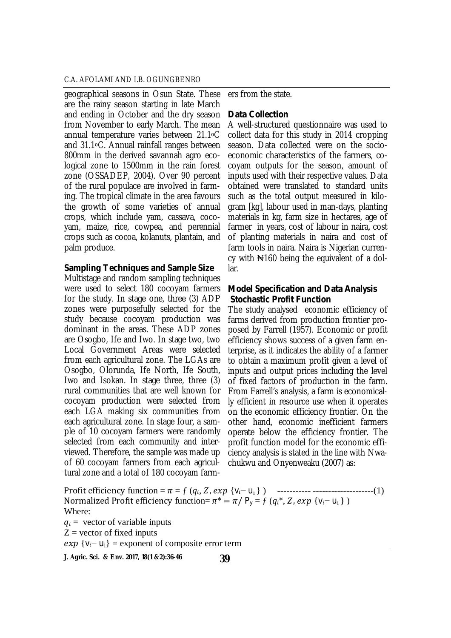geographical seasons in Osun State. These are the rainy season starting in late March and ending in October and the dry season from November to early March. The mean annual temperature varies between 21.1oC and 31.1oC. Annual rainfall ranges between 800mm in the derived savannah agro ecological zone to 1500mm in the rain forest zone (OSSADEP, 2004). Over 90 percent of the rural populace are involved in farming. The tropical climate in the area favours the growth of some varieties of annual crops, which include yam, cassava, cocoyam, maize, rice, cowpea, and perennial crops such as cocoa, kolanuts, plantain, and palm produce.

#### *Sampling Techniques and Sample Size*

Multistage and random sampling techniques were used to select 180 cocoyam farmers for the study. In stage one, three (3) ADP zones were purposefully selected for the study because cocoyam production was dominant in the areas. These ADP zones are Osogbo, Ife and Iwo. In stage two, two Local Government Areas were selected from each agricultural zone. The LGAs are Osogbo, Olorunda, Ife North, Ife South, Iwo and Isokan. In stage three, three (3) rural communities that are well known for cocoyam production were selected from each LGA making six communities from each agricultural zone. In stage four, a sample of 10 cocoyam farmers were randomly selected from each community and interviewed. Therefore, the sample was made up of 60 cocoyam farmers from each agricultural zone and a total of 180 cocoyam farm-

ers from the state.

#### *Data Collection*

A well-structured questionnaire was used to collect data for this study in 2014 cropping season. Data collected were on the socioeconomic characteristics of the farmers, cocoyam outputs for the season, amount of inputs used with their respective values. Data obtained were translated to standard units such as the total output measured in kilogram [kg], labour used in man-days, planting materials in kg, farm size in hectares, age of farmer in years, cost of labour in naira, cost of planting materials in naira and cost of farm tools in naira. Naira is Nigerian currency with  $\mathbb{N}160$  being the equivalent of a dollar.

## *Model Specification and Data Analysis Stochastic Profit Function*

The study analysed economic efficiency of farms derived from production frontier proposed by Farrell (1957). Economic or profit efficiency shows success of a given farm enterprise, as it indicates the ability of a farmer to obtain a maximum profit given a level of inputs and output prices including the level of fixed factors of production in the farm. From Farrell's analysis, a farm is economically efficient in resource use when it operates on the economic efficiency frontier. On the other hand, economic inefficient farmers operate below the efficiency frontier. The profit function model for the economic efficiency analysis is stated in the line with Nwachukwu and Onyenweaku (2007) as:

Proϐit efϐiciency function = ߨ = ƒ (ݍ݅, ܼ, ݁ݔ} v݅− ui } ) ----------- --------------------(1) Normalized Profit efficiency function=  $\pi^* = \pi / P_v = f(q_i^*, Z, exp \{V_i - U_i\})$ Where:  $q_i$  = vector of variable inputs

 $Z =$  vector of fixed inputs

 $exp \{V_i - U_i\}$  = exponent of composite error term

**<sup>39</sup> J. Agric. Sci. & Env. 2017, 18(1 &2):36-46**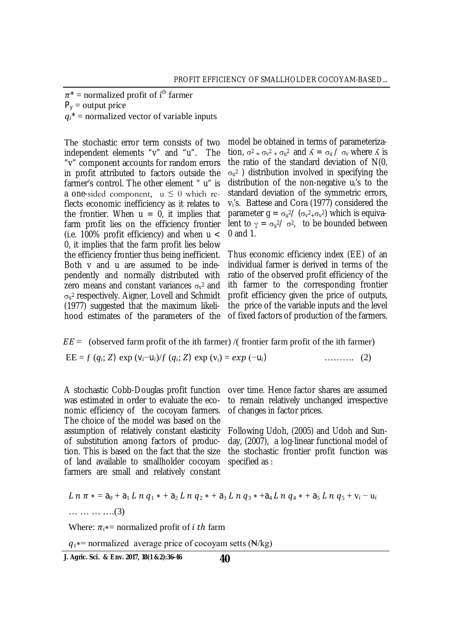$\pi^*$  = normalized profit of i<sup>th</sup> farmer

 $P_v =$  output price

 $q_i^*$  = normalized vector of variable inputs

The stochastic error term consists of two independent elements "v" and "u". The "v" component accounts for random errors in profit attributed to factors outside the farmer's control. The other element " u" is a one-sided component,  $u \leq 0$  which reflects economic inefficiency as it relates to the frontier. When  $u = 0$ , it implies that farm profit lies on the efficiency frontier (i.e. 100% profit efficiency) and when  $u <$ 0, it implies that the farm profit lies below the efficiency frontier thus being inefficient. Both v and u are assumed to be independently and normally distributed with zero means and constant variances  $\sigma_{\rm v}$ <sup>2</sup> and  $\sigma_{\sf u}$ 2 respectively. Aigner, Lovell and Schmidt (1977) suggested that the maximum likelihood estimates of the parameters of the

model be obtained in terms of parameterization,  $\sigma^2 = \sigma_v^2 + \sigma_u^2$  and  $\Lambda = \sigma_u / \sigma_v$  where  $\Lambda$  is the ratio of the standard deviation of N(0,  $\sigma_{\sf u^2}$  ) distribution involved in specifying the distribution of the non-negative ui's to the standard deviation of the symmetric errors, vi's. Battese and Cora (1977) considered the parameter g =  $\sigma_u^2$ / ( $\sigma_v^2$ <sub>+ $\sigma_v^2$ ) which is equiva-</sub> lent to  $\gamma = \sigma_u^2 / \sigma^2$ , to be bounded between 0 and 1.

Thus economic efficiency index (EE) of an individual farmer is derived in terms of the ratio of the observed profit efficiency of the ith farmer to the corresponding frontier profit efficiency given the price of outputs, the price of the variable inputs and the level of fixed factors of production of the farmers.

 $EE =$  (observed farm profit of the ith farmer) /( frontier farm profit of the ith farmer)

$$
EE = f (q_i; Z) \exp (v_i - u_i) / f (q_i; Z) \exp (v_i) = exp (-u_i)
$$
 (2)

was estimated in order to evaluate the economic efficiency of the cocoyam farmers. The choice of the model was based on the assumption of relatively constant elasticity of substitution among factors of production. This is based on the fact that the size of land available to smallholder cocoyam farmers are small and relatively constant

A stochastic Cobb-Douglas profit function over time. Hence factor shares are assumed to remain relatively unchanged irrespective of changes in factor prices.

> Following Udoh, (2005) and Udoh and Sunday, (2007), a log-linear functional model of the stochastic frontier profit function was specified as :

$$
L n \pi * = a_0 + a_1 L n q_1 * + a_2 L n q_2 * + a_3 L n q_3 * + a_4 L n q_4 * + a_5 L n q_5 + v_i - u_i
$$
  
.... .......(3)

Where:  $\pi_i$  = normalized profit of *i* th farm

 $q_1$ \*= normalized average price of cocoyam setts (N/kg)

**40 J. Agric. Sci. & Env. 2017, 18(1 &2):36-46**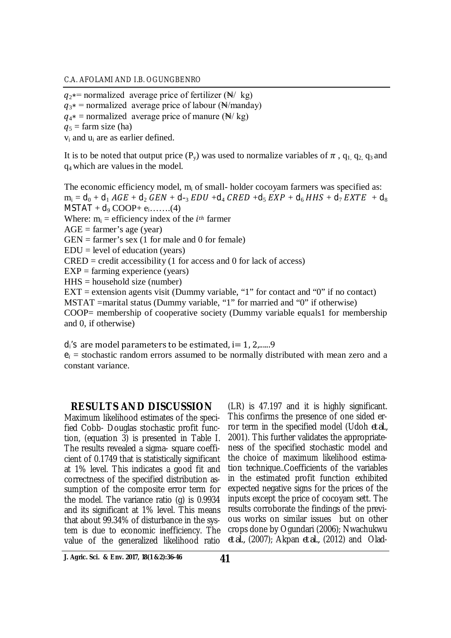$q_2$  = normalized average price of fertilizer ( $\mathbb{N}/\mathbb{k}$ g)  $q_{3*}$  = normalized average price of labour (N/manday)  $q_{4}$  = normalized average price of manure (N/ kg)  $q_5$  = farm size (ha) v<sup>i</sup> and u<sup>i</sup> are as earlier defined.

It is to be noted that output price  $(P_v)$  was used to normalize variables of  $\pi$ ,  $q_1$ ,  $q_2$ ,  $q_3$  and q4 which are valuesin the model.

The economic efficiency model, m<sup>i</sup> of small- holder cocoyam farmers was specified as:  $m_i = d_0 + d_1 AGE + d_2 GEN + d_{-3} EDU + d_4 CRED + d_5 EXP + d_6 HHS + d_7 EXTE + d_8$  $MSTAT + d_9 COOP + e_i$ …….(4)

Where:  $m_i$  = efficiency index of the  $i^{th}$  farmer

 $AGE = farmer's age (year)$ 

 $GEN = farmer's sex (1 for male and 0 for female)$ 

 $EDU = level of education (years)$ 

 $CRED = credit accessibility (1 for access and 0 for lack of access)$ 

 $EXP = farming experience (years)$ 

 $H$ HS = household size (number)

 $EXT$  = extension agents visit (Dummy variable, "1" for contact and "0" if no contact) MSTAT =marital status (Dummy variable, "1" for married and "0" if otherwise) COOP= membership of cooperative society (Dummy variable equals1 for membership and 0, if otherwise)

 $d_i$ 's are model parameters to be estimated,  $i=1, 2, \ldots, 9$ 

 $e_i$  = stochastic random errors assumed to be normally distributed with mean zero and a constant variance.

## **RESULTS AND DISCUSSION**

Maximum likelihood estimates of the specified Cobb- Douglas stochastic profit function, (equation 3) is presented in Table I. The results revealed a sigma- square coefficient of 0.1749 that is statistically significant at 1% level. This indicates a good fit and correctness of the specified distribution assumption of the composite error term for the model. The variance ratio (g) is 0.9934 and its significant at 1% level. This means that about 99.34% of disturbance in the system is due to economic inefficiency. The value of the generalized likelihood ratio

(LR) is 47.197 and it is highly significant. This confirms the presence of one sided error term in the specified model (Udoh *et al.,* 2001). This further validates the appropriateness of the specified stochastic model and the choice of maximum likelihood estimation technique..Coefficients of the variables in the estimated profit function exhibited expected negative signs for the prices of the inputs except the price of cocoyam sett. The results corroborate the findings of the previous works on similar issues but on other crops done by Ogundari (2006); Nwachukwu *et al.,* (2007); Akpan *et al.,* (2012) and Olad-

**<sup>41</sup> J. Agric. Sci. & Env. 2017, 18(1 &2):36-46**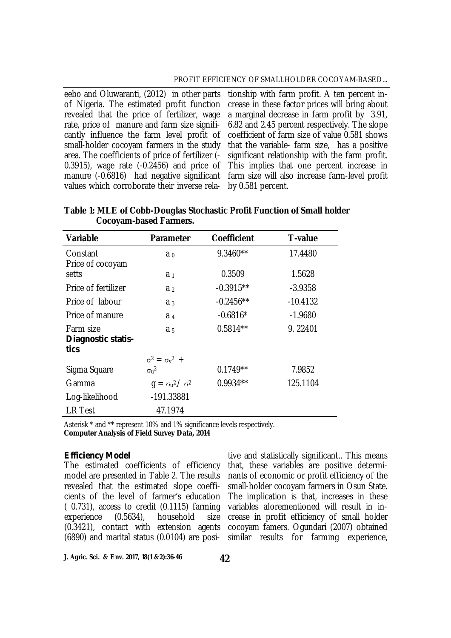of Nigeria. The estimated profit function revealed that the price of fertilizer, wage rate, price of manure and farm size significantly influence the farm level profit of small-holder cocoyam farmers in the study area. The coefficients of price of fertilizer (- 0.3915), wage rate (-0.2456) and price of values which corroborate their inverse rela-

eebo and Oluwaranti, (2012) in other parts tionship with farm profit. A ten percent inmanure (-0.6816) had negative significant farm size will also increase farm-level profit crease in these factor prices will bring about a marginal decrease in farm profit by 3.91, 6.82 and 2.45 percent respectively. The slope coefficient of farm size of value 0.581 shows that the variable- farm size, has a positive significant relationship with the farm profit. This implies that one percent increase in by 0.581 percent.

| <b>Variable</b>     | <b>Parameter</b>            | <b>Coefficient</b> | <b>T-value</b> |
|---------------------|-----------------------------|--------------------|----------------|
|                     |                             |                    |                |
| Constant            | a <sub>0</sub>              | $9.3460**$         | 17.4480        |
| Price of cocoyam    |                             |                    |                |
| setts               | a <sub>1</sub>              | 0.3509             | 1.5628         |
| Price of fertilizer | a <sub>2</sub>              | $-0.3915**$        | $-3.9358$      |
| Price of labour     | a <sub>3</sub>              | $-0.2456**$        | $-10.4132$     |
| Price of manure     | a <sub>4</sub>              | $-0.6816*$         | $-1.9680$      |
| Farm size           | a <sub>5</sub>              | $0.5814**$         | 9.22401        |
| Diagnostic statis-  |                             |                    |                |
| tics                |                             |                    |                |
|                     | $\sigma^2 = \sigma_v^2$ +   |                    |                |
| Sigma Square        | $\sigma_{\rm u}{}^2$        | $0.1749**$         | 7.9852         |
| Gamma               | $q = \sigma_u^2 / \sigma^2$ | $0.9934**$         | 125.1104       |
| Log-likelihood      | -191.33881                  |                    |                |
| <b>LR Test</b>      | 47.1974                     |                    |                |

**Table 1: MLE of Cobb-Douglas Stochastic Profit Function of Small holder Cocoyam-based Farmers.** 

Asterisk \* and \*\* represent 10% and 1% significance levels respectively. **Computer Analysis of Field Survey Data, 2014**

## *Efficiency Model*

The estimated coefficients of efficiency model are presented in Table 2. The results revealed that the estimated slope coefficients of the level of farmer's education ( 0.731), access to credit (0.1115) farming experience (0.5634), household size (0.3421), contact with extension agents (6890) and marital status (0.0104) are posi-

tive and statistically significant.. This means that, these variables are positive determinants of economic or profit efficiency of the small-holder cocoyam farmers in Osun State. The implication is that, increases in these variables aforementioned will result in increase in profit efficiency of small holder cocoyam famers. Ogundari (2007) obtained similar results for farming experience,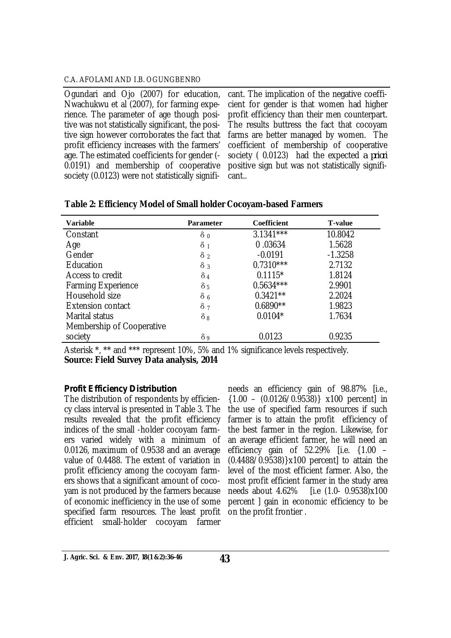Ogundari and Ojo (2007) for education, Nwachukwu et al (2007), for farming experience. The parameter of age though positive was not statistically significant, the positive sign however corroborates the fact that profit efficiency increases with the farmers' age. The estimated coefficients for gender (- 0.0191) and membership of cooperative society (0.0123) were not statistically signifi-

cant. The implication of the negative coefficient for gender is that women had higher profit efficiency than their men counterpart. The results buttress the fact that cocoyam farms are better managed by women. The coefficient of membership of cooperative society ( 0.0123) had the expected *a priori* positive sign but was not statistically significant..

| <b>Variable</b>           | <b>Parameter</b> | <b>Coefficient</b> | <b>T-value</b> |
|---------------------------|------------------|--------------------|----------------|
| Constant                  | $\delta_0$       | $3.1341***$        | 10.8042        |
| Age                       | $\delta_1$       | 0.03634            | 1.5628         |
| Gender                    | $\delta$ 2       | $-0.0191$          | $-1.3258$      |
| Education                 | $\delta_3$       | $0.7310***$        | 2.7132         |
| Access to credit          | $\delta_4$       | $0.1115*$          | 1.8124         |
| <b>Farming Experience</b> | $\delta$ 5       | $0.5634***$        | 2.9901         |
| Household size            | $\delta$ 6       | $0.3421**$         | 2.2024         |
| <b>Extension contact</b>  | $\delta$ 7       | $0.6890**$         | 1.9823         |
| Marital status            | $\delta_8$       | $0.0104*$          | 1.7634         |
| Membership of Cooperative |                  |                    |                |
| society                   | $\delta$ 9       | 0.0123             | 0.9235         |

## **Table 2: Efficiency Model of Small holder Cocoyam-based Farmers**

Asterisk \*, \*\* and \*\*\* represent 10%, 5% and 1% significance levels respectively. **Source: Field Survey Data analysis, 2014**

## *Profit Efficiency Distribution*

The distribution of respondents by efficiency class interval is presented in Table 3. The results revealed that the profit efficiency indices of the small -holder cocoyam farmers varied widely with a minimum of 0.0126, maximum of 0.9538 and an average value of 0.4488. The extent of variation in profit efficiency among the cocoyam farmers shows that a significant amount of cocoyam is not produced by the farmers because of economic inefficiency in the use of some specified farm resources. The least profit efficient small-holder cocoyam farmer

needs an efficiency gain of 98.87% [i.e.,  ${1.00 - (0.0126/0.9538)}$  x100 percent] in the use of specified farm resources if such farmer is to attain the profit efficiency of the best farmer in the region. Likewise, for an average efficient farmer, he will need an efficiency gain of 52.29% [i.e. {1.00 – (0.4488/0.9538)}x100 percent] to attain the level of the most efficient farmer. Also, the most profit efficient farmer in the study area needs about 4.62% [i.e (1.0- 0.9538)x100 percent ] gain in economic efficiency to be on the profit frontier .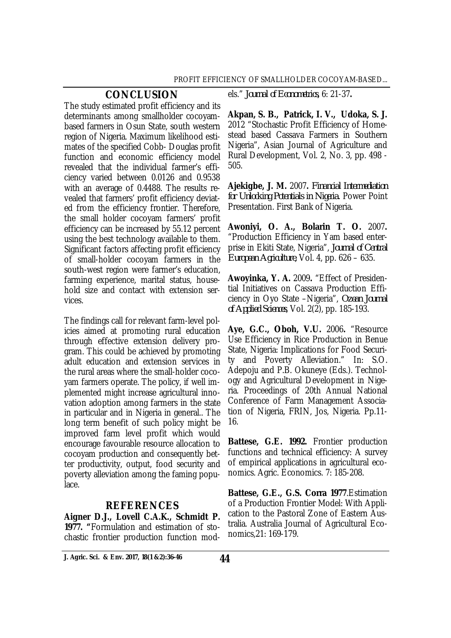## **CONCLUSION**

The study estimated profit efficiency and its determinants among smallholder cocoyambased farmers in Osun State, south western region of Nigeria. Maximum likelihood estimates of the specified Cobb- Douglas profit function and economic efficiency model revealed that the individual farmer's efficiency varied between 0.0126 and 0.9538 with an average of 0.4488. The results revealed that farmers' profit efficiency deviated from the efficiency frontier. Therefore, the small holder cocoyam farmers' profit efficiency can be increased by 55.12 percent using the best technology available to them. Significant factors affecting profit efficiency of small-holder cocoyam farmers in the south-west region were farmer's education, farming experience, marital status, household size and contact with extension services.

The findings call for relevant farm-level policies aimed at promoting rural education through effective extension delivery program. This could be achieved by promoting adult education and extension services in the rural areas where the small-holder cocoyam farmers operate. The policy, if well implemented might increase agricultural innovation adoption among farmers in the state in particular and in Nigeria in general.. The long term benefit of such policy might be improved farm level profit which would encourage favourable resource allocation to cocoyam production and consequently better productivity, output, food security and poverty alleviation among the faming populace.

## **REFERENCES**

**Aigner D.J., Lovell C.A.K., Schmidt P. 1977. "**Formulation and estimation of stochastic frontier production function models." *Journal of Econometrics,* 6: 21-37**.**

**Akpan, S. B., Patrick, I. V., Udoka, S. J.**  2012 "Stochastic Profit Efficiency of Homestead based Cassava Farmers in Southern Nigeria", Asian Journal of Agriculture and Rural Development, Vol. 2, No. 3, pp. 498 - 505.

**Ajekigbe, J. M.** 2007**.** *Financial Intermediation for Unlocking Potentials in Nigeria.* Power Point Presentation. First Bank of Nigeria.

**Awoniyi, O. A., Bolarin T. O.** 2007**.** "Production Efficiency in Yam based enterprise in Ekiti State, Nigeria", *Journal of Central European Agriculture,* Vol. 4, pp. 626 – 635.

**Awoyinka, Y. A.** 2009**.** "Effect of Presidential Initiatives on Cassava Production Efficiency in Oyo State –Nigeria", *Ozean Journal of Applied Sciences*, Vol. 2(2), pp. 185-193.

**Aye, G.C., Oboh, V.U.** 2006**.** "Resource Use Efficiency in Rice Production in Benue State, Nigeria: Implications for Food Security and Poverty Alleviation." In: S.O. Adepoju and P.B. Okuneye (Eds.). Technology and Agricultural Development in Nigeria. Proceedings of 20th Annual National Conference of Farm Management Association of Nigeria, FRIN, Jos, Nigeria. Pp.11- 16.

**Battese, G.E. 1992.** Frontier production functions and technical efficiency: A survey of empirical applications in agricultural economics. Agric. Economics. 7: 185-208.

**Battese, G.E., G.S. Corra 1977**.Estimation of a Production Frontier Model: With Application to the Pastoral Zone of Eastern Australia. Australia Journal of Agricultural Economics,21: 169-179.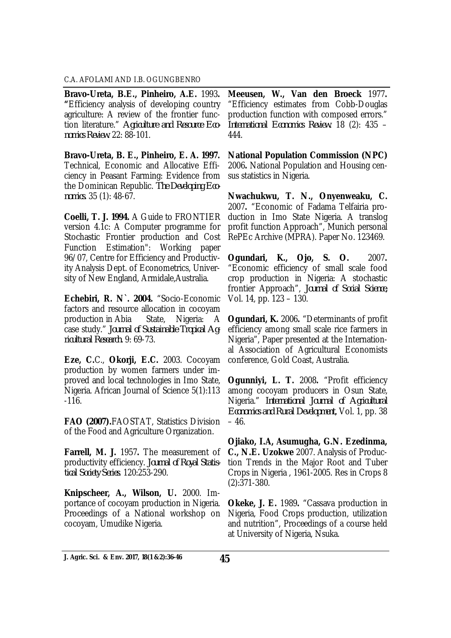**Bravo-Ureta, B.E., Pinheiro, A.E.** 1993**. "**Efficiency analysis of developing country agriculture: A review of the frontier function literature." *Agriculture and Resource Economics Review*. 22: 88-101.

**Bravo-Ureta, B. E., Pinheiro, E. A. 1997.** Technical, Economic and Allocative Efficiency in Peasant Farming: Evidence from the Dominican Republic. *The Developing Economics.* 35 (1): 48-67.

**Coelli, T. J. 1994.** A Guide to FRONTIER version 4.1c: A Computer programme for Stochastic Frontier production and Cost Function Estimation": Working paper 96/07, Centre for Efficiency and Productivity Analysis Dept. of Econometrics, University of New England, Armidale,Australia.

**Echebiri, R. N`. 2004.** "Socio-Economic factors and resource allocation in cocoyam production in Abia State, Nigeria: A case study." *Journal of Sustainable Tropical Agricultural Research.* 9: 69-73.

**Eze, C.**C., **Okorji, E.C.** 2003. Cocoyam production by women farmers under improved and local technologies in Imo State, Nigeria. African Journal of Science 5(1):113 -116.

**FAO (2007).**FAOSTAT, Statistics Division of the Food and Agriculture Organization.

**Farrell, M. J.** 1957**.** The measurement of productivity efficiency. *Journal of Royal Statistical Society Series*. 120:253-290.

**Knipscheer, A., Wilson, U.** 2000. Importance of cocoyam production in Nigeria. Proceedings of a National workshop on cocoyam, Umudike Nigeria.

**Meeusen, W., Van den Broeck** 1977**.** "Efficiency estimates from Cobb-Douglas production function with composed errors." *International Economics Review.* 18 (2): 435 – 444.

**National Population Commission (NPC)**  2006**.** National Population and Housing census statistics in Nigeria.

**Nwachukwu, T. N., Onyenweaku, C.**  2007**.** "Economic of Fadama Telfairia production in Imo State Nigeria. A translog profit function Approach", Munich personal RePEc Archive (MPRA). Paper No. 123469.

**Ogundari, K., Ojo, S. O.** 2007**.** "Economic efficiency of small scale food crop production in Nigeria: A stochastic frontier Approach", *Journal of Social Science,* Vol. 14, pp. 123 – 130.

**Ogundari, K.** 2006**.** "Determinants of profit efficiency among small scale rice farmers in Nigeria", Paper presented at the International Association of Agricultural Economists conference, Gold Coast, Australia.

**Ogunniyi, L. T.** 2008**.** "Profit efficiency among cocoyam producers in Osun State, Nigeria." *International Journal of Agricultural Economics and Rural Development,* Vol. 1, pp. 38  $-46.$ 

**Ojiako, I.A, Asumugha, G.N. Ezedinma, C., N.E. Uzokwe** 2007. Analysis of Production Trends in the Major Root and Tuber Crops in Nigeria , 1961-2005. Res in Crops 8 (2):371-380.

**Okeke, J. E.** 1989**.** "Cassava production in Nigeria, Food Crops production, utilization and nutrition", Proceedings of a course held at University of Nigeria, Nsuka.